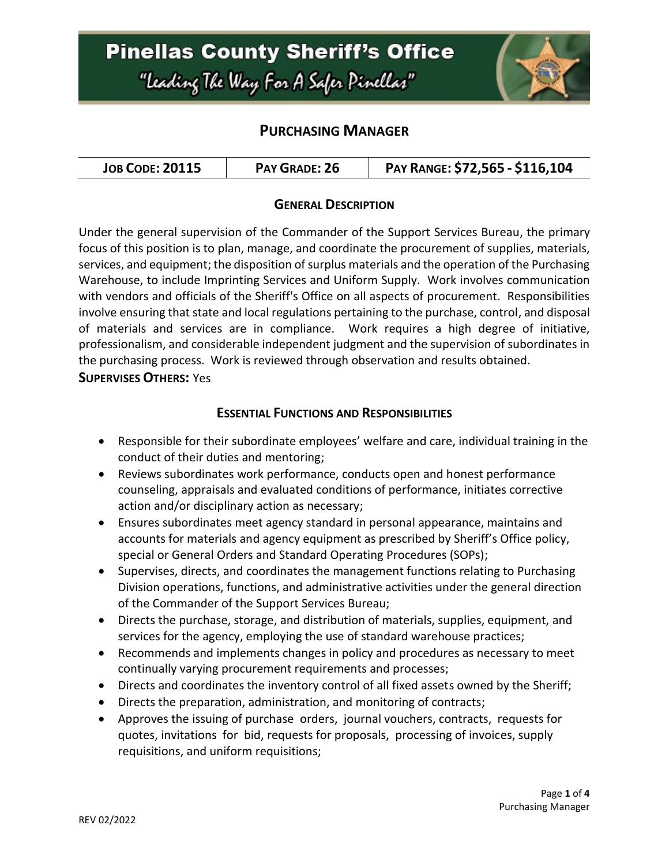# **Pinellas County Sheriff's Office** "Leading The Way For A Safer Pinellar"



### **PURCHASING MANAGER**

| <b>JOB CODE: 20115</b> | PAY GRADE: 26 | PAY RANGE: \$72,565 - \$116,104 |
|------------------------|---------------|---------------------------------|
|------------------------|---------------|---------------------------------|

#### **GENERAL DESCRIPTION**

Under the general supervision of the Commander of the Support Services Bureau, the primary focus of this position is to plan, manage, and coordinate the procurement of supplies, materials, services, and equipment; the disposition of surplus materials and the operation of the Purchasing Warehouse, to include Imprinting Services and Uniform Supply. Work involves communication with vendors and officials of the Sheriff's Office on all aspects of procurement. Responsibilities involve ensuring that state and local regulations pertaining to the purchase, control, and disposal of materials and services are in compliance. Work requires a high degree of initiative, professionalism, and considerable independent judgment and the supervision of subordinates in the purchasing process. Work is reviewed through observation and results obtained. **SUPERVISES OTHERS:** Yes

#### **ESSENTIAL FUNCTIONS AND RESPONSIBILITIES**

- Responsible for their subordinate employees' welfare and care, individual training in the conduct of their duties and mentoring;
- Reviews subordinates work performance, conducts open and honest performance counseling, appraisals and evaluated conditions of performance, initiates corrective action and/or disciplinary action as necessary;
- Ensures subordinates meet agency standard in personal appearance, maintains and accounts for materials and agency equipment as prescribed by Sheriff's Office policy, special or General Orders and Standard Operating Procedures (SOPs);
- Supervises, directs, and coordinates the management functions relating to Purchasing Division operations, functions, and administrative activities under the general direction of the Commander of the Support Services Bureau;
- Directs the purchase, storage, and distribution of materials, supplies, equipment, and services for the agency, employing the use of standard warehouse practices;
- Recommends and implements changes in policy and procedures as necessary to meet continually varying procurement requirements and processes;
- Directs and coordinates the inventory control of all fixed assets owned by the Sheriff;
- Directs the preparation, administration, and monitoring of contracts;
- Approves the issuing of purchase orders, journal vouchers, contracts, requests for quotes, invitations for bid, requests for proposals, processing of invoices, supply requisitions, and uniform requisitions;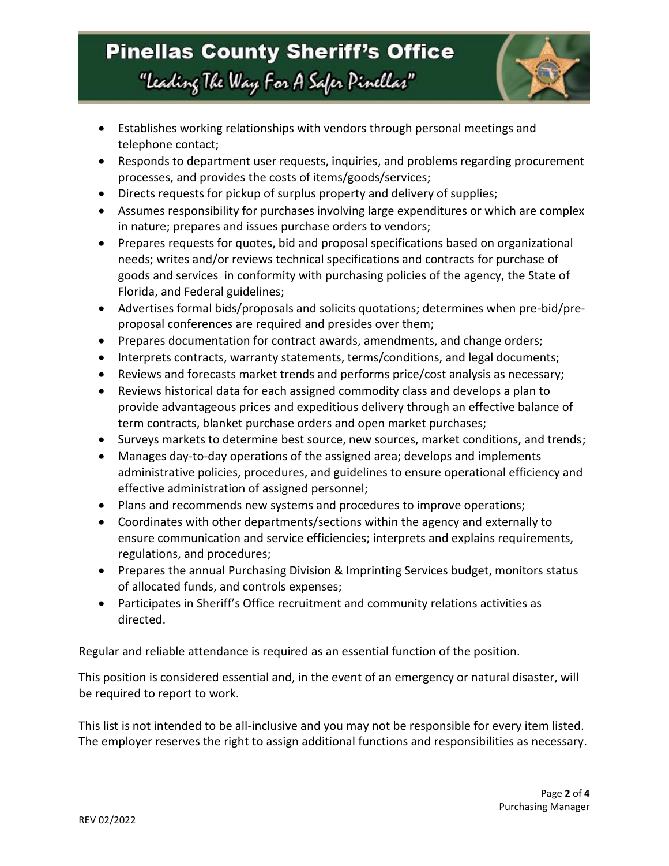# **Pinellas County Sheriff's Office** "Leading The Way For A Safer Pinellar"



- Establishes working relationships with vendors through personal meetings and telephone contact;
- Responds to department user requests, inquiries, and problems regarding procurement processes, and provides the costs of items/goods/services;
- Directs requests for pickup of surplus property and delivery of supplies;
- Assumes responsibility for purchases involving large expenditures or which are complex in nature; prepares and issues purchase orders to vendors;
- Prepares requests for quotes, bid and proposal specifications based on organizational needs; writes and/or reviews technical specifications and contracts for purchase of goods and services in conformity with purchasing policies of the agency, the State of Florida, and Federal guidelines;
- Advertises formal bids/proposals and solicits quotations; determines when pre-bid/preproposal conferences are required and presides over them;
- Prepares documentation for contract awards, amendments, and change orders;
- Interprets contracts, warranty statements, terms/conditions, and legal documents;
- Reviews and forecasts market trends and performs price/cost analysis as necessary;
- Reviews historical data for each assigned commodity class and develops a plan to provide advantageous prices and expeditious delivery through an effective balance of term contracts, blanket purchase orders and open market purchases;
- Surveys markets to determine best source, new sources, market conditions, and trends;
- Manages day-to-day operations of the assigned area; develops and implements administrative policies, procedures, and guidelines to ensure operational efficiency and effective administration of assigned personnel;
- Plans and recommends new systems and procedures to improve operations;
- Coordinates with other departments/sections within the agency and externally to ensure communication and service efficiencies; interprets and explains requirements, regulations, and procedures;
- Prepares the annual Purchasing Division & Imprinting Services budget, monitors status of allocated funds, and controls expenses;
- Participates in Sheriff's Office recruitment and community relations activities as directed.

Regular and reliable attendance is required as an essential function of the position.

This position is considered essential and, in the event of an emergency or natural disaster, will be required to report to work.

This list is not intended to be all-inclusive and you may not be responsible for every item listed. The employer reserves the right to assign additional functions and responsibilities as necessary.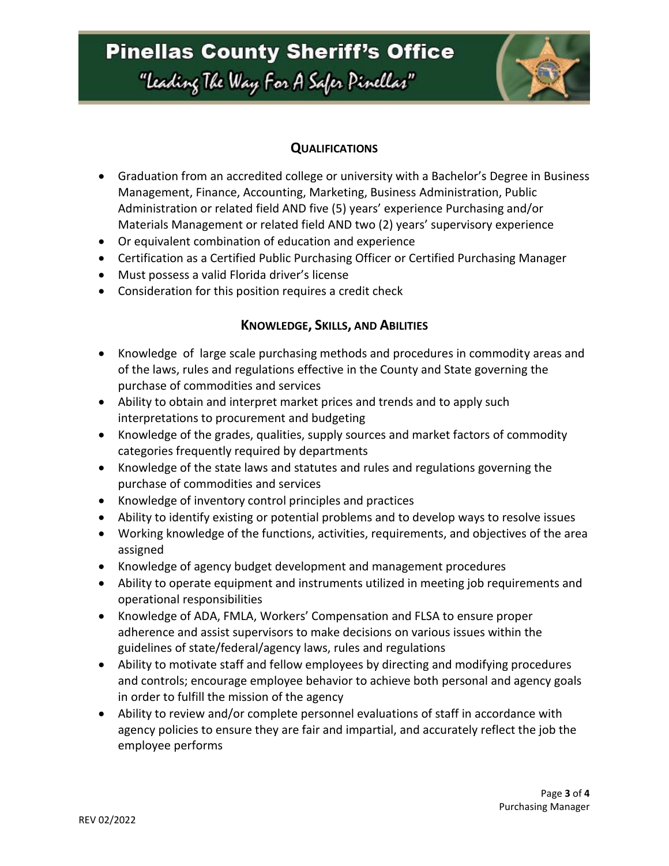# **Pinellas County Sheriff's Office**

"Leading The Way For A Safer Pinellar"



#### **QUALIFICATIONS**

- Graduation from an accredited college or university with a Bachelor's Degree in Business Management, Finance, Accounting, Marketing, Business Administration, Public Administration or related field AND five (5) years' experience Purchasing and/or Materials Management or related field AND two (2) years' supervisory experience
- Or equivalent combination of education and experience
- Certification as a Certified Public Purchasing Officer or Certified Purchasing Manager
- Must possess a valid Florida driver's license
- Consideration for this position requires a credit check

#### **KNOWLEDGE, SKILLS, AND ABILITIES**

- Knowledge of large scale purchasing methods and procedures in commodity areas and of the laws, rules and regulations effective in the County and State governing the purchase of commodities and services
- Ability to obtain and interpret market prices and trends and to apply such interpretations to procurement and budgeting
- Knowledge of the grades, qualities, supply sources and market factors of commodity categories frequently required by departments
- Knowledge of the state laws and statutes and rules and regulations governing the purchase of commodities and services
- Knowledge of inventory control principles and practices
- Ability to identify existing or potential problems and to develop ways to resolve issues
- Working knowledge of the functions, activities, requirements, and objectives of the area assigned
- Knowledge of agency budget development and management procedures
- Ability to operate equipment and instruments utilized in meeting job requirements and operational responsibilities
- Knowledge of ADA, FMLA, Workers' Compensation and FLSA to ensure proper adherence and assist supervisors to make decisions on various issues within the guidelines of state/federal/agency laws, rules and regulations
- Ability to motivate staff and fellow employees by directing and modifying procedures and controls; encourage employee behavior to achieve both personal and agency goals in order to fulfill the mission of the agency
- Ability to review and/or complete personnel evaluations of staff in accordance with agency policies to ensure they are fair and impartial, and accurately reflect the job the employee performs